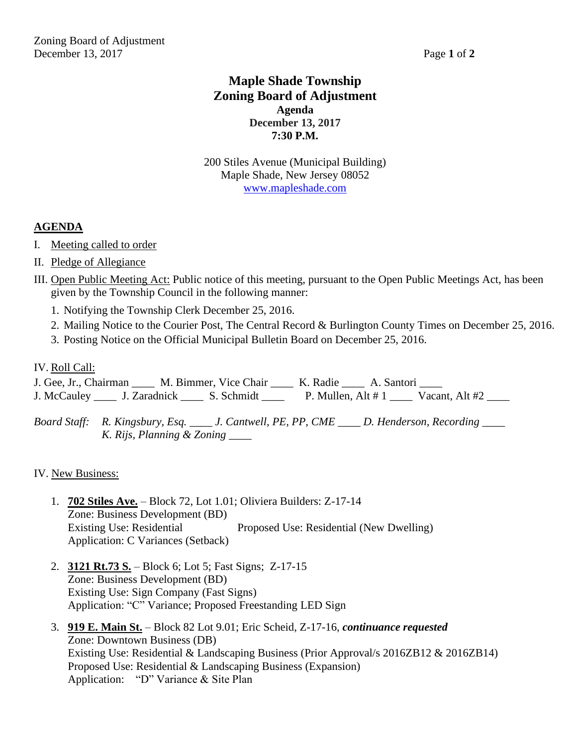## **Maple Shade Township Zoning Board of Adjustment Agenda December 13, 2017 7:30 P.M.**

200 Stiles Avenue (Municipal Building) Maple Shade, New Jersey 08052 [www.mapleshade.com](http://www.mapleshade.com/)

## **AGENDA**

- I. Meeting called to order
- II. Pledge of Allegiance
- III. Open Public Meeting Act: Public notice of this meeting, pursuant to the Open Public Meetings Act, has been given by the Township Council in the following manner:
	- 1. Notifying the Township Clerk December 25, 2016.
	- 2. Mailing Notice to the Courier Post, The Central Record & Burlington County Times on December 25, 2016.
	- 3. Posting Notice on the Official Municipal Bulletin Board on December 25, 2016.
- IV. Roll Call:

J. Gee, Jr., Chairman \_\_\_\_ M. Bimmer, Vice Chair \_\_\_\_ K. Radie \_\_\_\_ A. Santori \_\_\_\_ J. McCauley \_\_\_\_\_ J. Zaradnick \_\_\_\_\_ S. Schmidt \_\_\_\_\_\_ P. Mullen, Alt # 1 \_\_\_\_\_ Vacant, Alt #2 \_\_\_\_

*Board Staff: R. Kingsbury, Esq. \_\_\_\_ J. Cantwell, PE, PP, CME \_\_\_\_ D. Henderson, Recording \_\_\_\_ K. Rijs, Planning & Zoning \_\_\_\_*

IV. New Business:

- 1. **702 Stiles Ave.** Block 72, Lot 1.01; Oliviera Builders: Z-17-14 Zone: Business Development (BD) Existing Use: Residential Proposed Use: Residential (New Dwelling) Application: C Variances (Setback)
- 2. **3121 Rt.73 S.** Block 6; Lot 5; Fast Signs; Z-17-15 Zone: Business Development (BD) Existing Use: Sign Company (Fast Signs) Application: "C" Variance; Proposed Freestanding LED Sign
- 3. **919 E. Main St.** Block 82 Lot 9.01; Eric Scheid, Z-17-16, *continuance requested* Zone: Downtown Business (DB) Existing Use: Residential & Landscaping Business (Prior Approval/s 2016ZB12 & 2016ZB14) Proposed Use: Residential & Landscaping Business (Expansion) Application: "D" Variance & Site Plan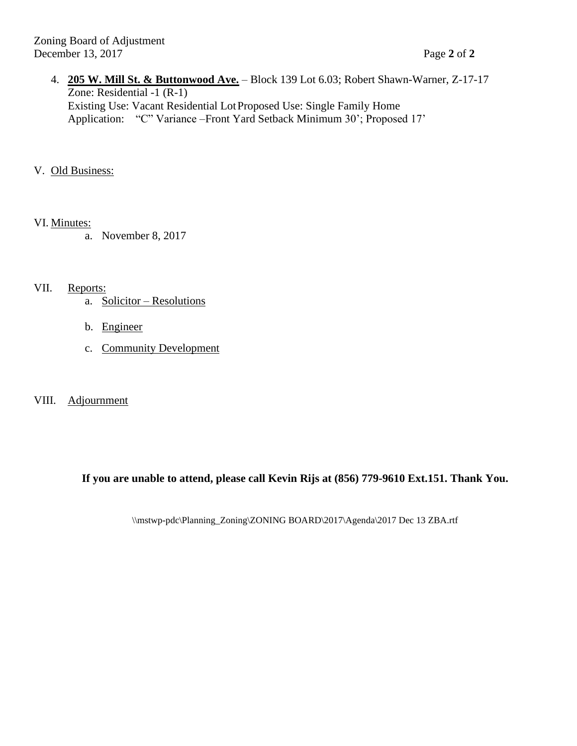- 4. **205 W. Mill St. & Buttonwood Ave.** Block 139 Lot 6.03; Robert Shawn-Warner, Z-17-17 Zone: Residential -1 (R-1) Existing Use: Vacant Residential LotProposed Use: Single Family Home Application: "C" Variance –Front Yard Setback Minimum 30'; Proposed 17'
- V. Old Business:

VI. Minutes:

a. November 8, 2017

VII. Reports:

- a. Solicitor Resolutions
- b. Engineer
- c. Community Development

## VIII. Adjournment

## **If you are unable to attend, please call Kevin Rijs at (856) 779-9610 Ext.151. Thank You.**

\\mstwp-pdc\Planning\_Zoning\ZONING BOARD\2017\Agenda\2017 Dec 13 ZBA.rtf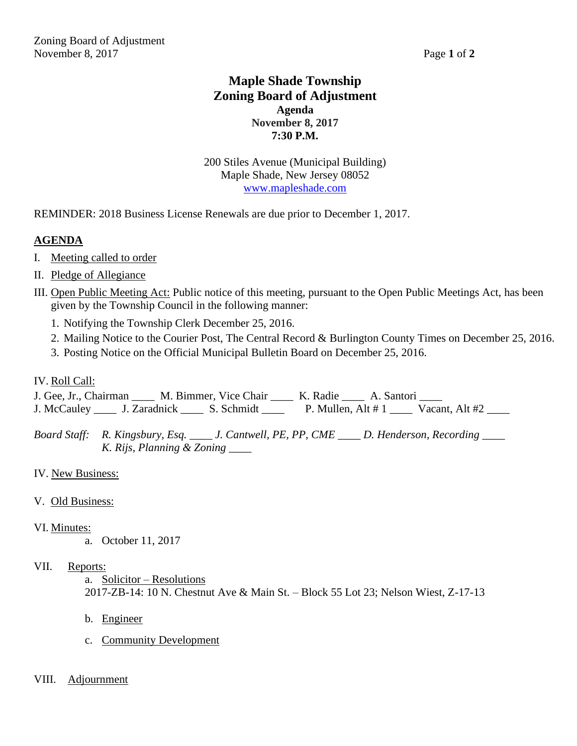## **Maple Shade Township Zoning Board of Adjustment Agenda November 8, 2017 7:30 P.M.**

200 Stiles Avenue (Municipal Building) Maple Shade, New Jersey 08052 [www.mapleshade.com](http://www.mapleshade.com/)

REMINDER: 2018 Business License Renewals are due prior to December 1, 2017.

## **AGENDA**

- I. Meeting called to order
- II. Pledge of Allegiance
- III. Open Public Meeting Act: Public notice of this meeting, pursuant to the Open Public Meetings Act, has been given by the Township Council in the following manner:
	- 1. Notifying the Township Clerk December 25, 2016.
	- 2. Mailing Notice to the Courier Post, The Central Record & Burlington County Times on December 25, 2016.
	- 3. Posting Notice on the Official Municipal Bulletin Board on December 25, 2016.

## IV. Roll Call:

J. Gee, Jr., Chairman \_\_\_\_ M. Bimmer, Vice Chair \_\_\_\_ K. Radie \_\_\_\_ A. Santori \_\_\_\_ J. McCauley \_\_\_\_\_ J. Zaradnick \_\_\_\_\_ S. Schmidt \_\_\_\_\_ P. Mullen, Alt # 1 \_\_\_\_ Vacant, Alt #2 \_\_\_\_

*Board Staff: R. Kingsbury, Esq. \_\_\_\_ J. Cantwell, PE, PP, CME \_\_\_\_ D. Henderson, Recording \_\_\_\_ K. Rijs, Planning & Zoning \_\_\_\_*

IV. New Business:

## V. Old Business:

- VI. Minutes:
	- a. October 11, 2017

## VII. Reports:

- a. Solicitor Resolutions 2017-ZB-14: 10 N. Chestnut Ave & Main St. – Block 55 Lot 23; Nelson Wiest, Z-17-13
- b. Engineer
- c. Community Development
- VIII. Adjournment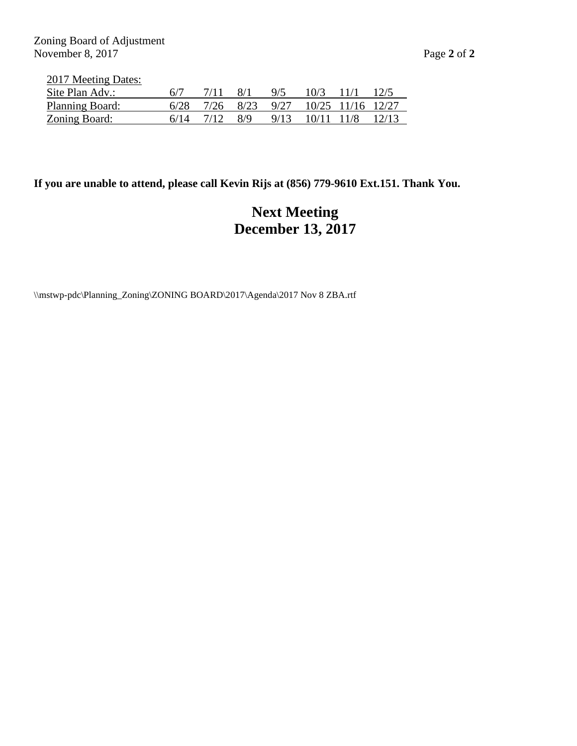Zoning Board of Adjustment November 8, 2017 Page 2 of 2

| 2017 Meeting Dates: |  |
|---------------------|--|
|                     |  |

| Site Plan Adv.:        |      |      | 8/1 | 9/5                              | $10/3$ $11/1$ |  |
|------------------------|------|------|-----|----------------------------------|---------------|--|
| <b>Planning Board:</b> | 6/28 |      |     | 7/26 8/23 9/27 10/25 11/16 12/27 |               |  |
| Zoning Board:          |      | 7/12 | 8/9 | 9/13 10/11 11/8 12/13            |               |  |

## **If you are unable to attend, please call Kevin Rijs at (856) 779-9610 Ext.151. Thank You.**

# **Next Meeting December 13, 2017**

\\mstwp-pdc\Planning\_Zoning\ZONING BOARD\2017\Agenda\2017 Nov 8 ZBA.rtf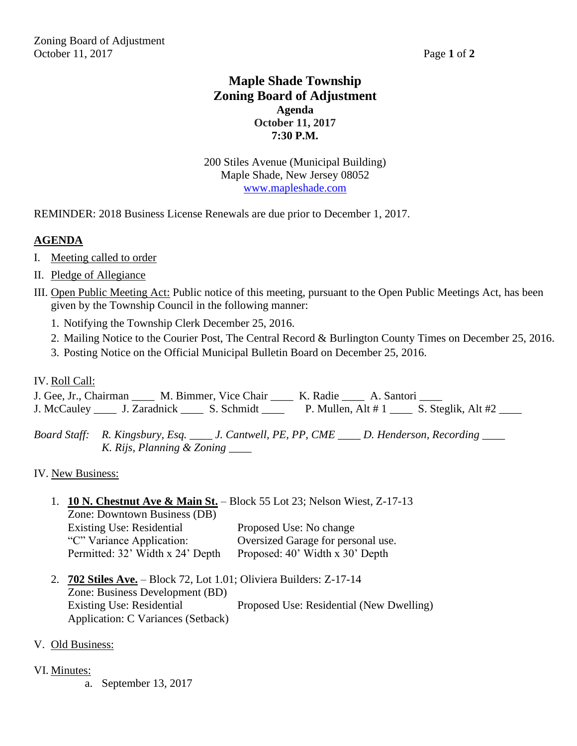Zoning Board of Adjustment October 11, 2017 Page **1** of **2**

## **Maple Shade Township Zoning Board of Adjustment Agenda October 11, 2017 7:30 P.M.**

200 Stiles Avenue (Municipal Building) Maple Shade, New Jersey 08052 [www.mapleshade.com](http://www.mapleshade.com/)

REMINDER: 2018 Business License Renewals are due prior to December 1, 2017.

## **AGENDA**

- I. Meeting called to order
- II. Pledge of Allegiance
- III. Open Public Meeting Act: Public notice of this meeting, pursuant to the Open Public Meetings Act, has been given by the Township Council in the following manner:
	- 1. Notifying the Township Clerk December 25, 2016.
	- 2. Mailing Notice to the Courier Post, The Central Record & Burlington County Times on December 25, 2016.
	- 3. Posting Notice on the Official Municipal Bulletin Board on December 25, 2016.

#### IV. Roll Call:

J. Gee, Jr., Chairman \_\_\_\_ M. Bimmer, Vice Chair \_\_\_\_ K. Radie \_\_\_\_ A. Santori \_\_\_\_ J. McCauley \_\_\_\_ J. Zaradnick \_\_\_\_ S. Schmidt \_\_\_\_ P. Mullen, Alt # 1 \_\_\_ S. Steglik, Alt #2 \_\_\_

*Board Staff: R. Kingsbury, Esq. \_\_\_\_ J. Cantwell, PE, PP, CME \_\_\_\_ D. Henderson, Recording \_\_\_\_ K. Rijs, Planning & Zoning \_\_\_\_*

IV. New Business:

1. **10 N. Chestnut Ave & Main St.** – Block 55 Lot 23; Nelson Wiest, Z-17-13

Zone: Downtown Business (DB) Existing Use: Residential Proposed Use: No change "C" Variance Application: Oversized Garage for personal use. Permitted: 32' Width x 24' Depth Proposed: 40' Width x 30' Depth

- 2. **702 Stiles Ave.** Block 72, Lot 1.01; Oliviera Builders: Z-17-14 Zone: Business Development (BD) Existing Use: Residential Proposed Use: Residential (New Dwelling) Application: C Variances (Setback)
- V. Old Business:
- VI. Minutes:
	- a. September 13, 2017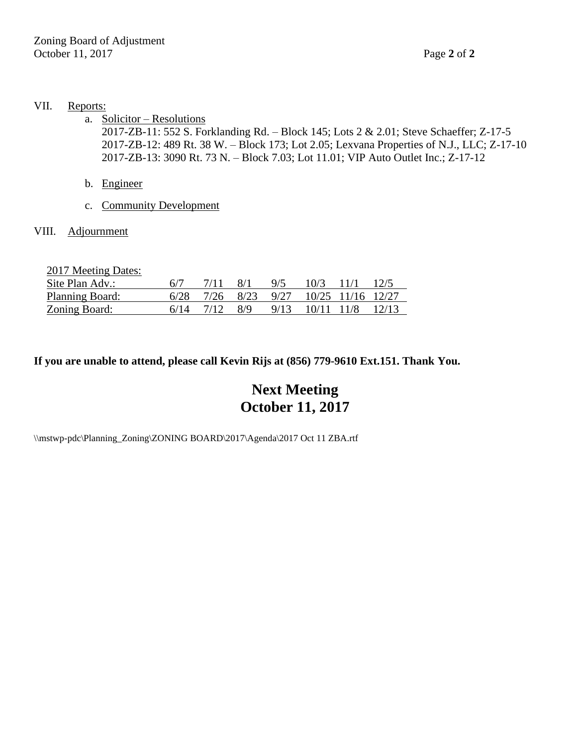#### VII. Reports:

a. Solicitor – Resolutions

2017-ZB-11: 552 S. Forklanding Rd. – Block 145; Lots 2 & 2.01; Steve Schaeffer; Z-17-5 2017-ZB-12: 489 Rt. 38 W. – Block 173; Lot 2.05; Lexvana Properties of N.J., LLC; Z-17-10 2017-ZB-13: 3090 Rt. 73 N. – Block 7.03; Lot 11.01; VIP Auto Outlet Inc.; Z-17-12

- b. Engineer
- c. Community Development

## VIII. Adjournment

| 2017 Meeting Dates: |      |      |               |      |            |                   |       |
|---------------------|------|------|---------------|------|------------|-------------------|-------|
| Site Plan Adv.:     | 6/7  |      | 8/1           | 9/5  | 10/3       | 11/1              | 12/5  |
| Planning Board:     | 6/28 | 7/26 | 8/23          | 9/27 |            | 10/25 11/16 12/27 |       |
| Zoning Board:       | 6/14 | 7/12 | $\frac{8}{9}$ | 9/13 | 10/11 11/8 |                   | 12/13 |

## **If you are unable to attend, please call Kevin Rijs at (856) 779-9610 Ext.151. Thank You.**

# **Next Meeting October 11, 2017**

\\mstwp-pdc\Planning\_Zoning\ZONING BOARD\2017\Agenda\2017 Oct 11 ZBA.rtf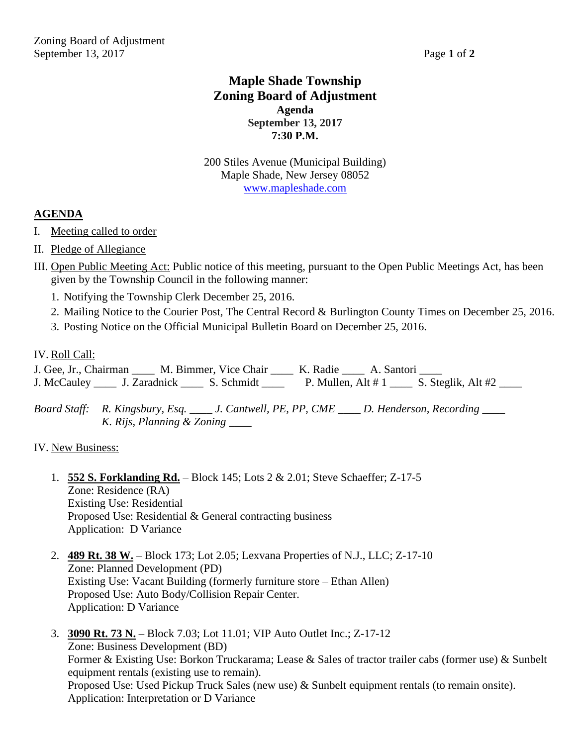## **Maple Shade Township Zoning Board of Adjustment Agenda September 13, 2017 7:30 P.M.**

200 Stiles Avenue (Municipal Building) Maple Shade, New Jersey 08052 [www.mapleshade.com](http://www.mapleshade.com/)

## **AGENDA**

- I. Meeting called to order
- II. Pledge of Allegiance
- III. Open Public Meeting Act: Public notice of this meeting, pursuant to the Open Public Meetings Act, has been given by the Township Council in the following manner:
	- 1. Notifying the Township Clerk December 25, 2016.
	- 2. Mailing Notice to the Courier Post, The Central Record & Burlington County Times on December 25, 2016.
	- 3. Posting Notice on the Official Municipal Bulletin Board on December 25, 2016.

## IV. Roll Call:

J. Gee, Jr., Chairman \_\_\_\_ M. Bimmer, Vice Chair \_\_\_\_ K. Radie \_\_\_\_ A. Santori \_\_\_ J. McCauley \_\_\_\_\_ J. Zaradnick \_\_\_\_\_ S. Schmidt \_\_\_\_ P. Mullen, Alt # 1 \_\_\_\_ S. Steglik, Alt #2 \_\_\_

*Board Staff: R. Kingsbury, Esq. \_\_\_\_ J. Cantwell, PE, PP, CME \_\_\_\_ D. Henderson, Recording \_\_\_\_ K. Rijs, Planning & Zoning \_\_\_\_*

## IV. New Business:

- 1. **552 S. Forklanding Rd.** Block 145; Lots 2 & 2.01; Steve Schaeffer; Z-17-5 Zone: Residence (RA) Existing Use: Residential Proposed Use: Residential & General contracting business Application: D Variance
- 2. **489 Rt. 38 W.** Block 173; Lot 2.05; Lexvana Properties of N.J., LLC; Z-17-10 Zone: Planned Development (PD) Existing Use: Vacant Building (formerly furniture store – Ethan Allen) Proposed Use: Auto Body/Collision Repair Center. Application: D Variance
- 3. **3090 Rt. 73 N.** Block 7.03; Lot 11.01; VIP Auto Outlet Inc.; Z-17-12 Zone: Business Development (BD) Former & Existing Use: Borkon Truckarama; Lease & Sales of tractor trailer cabs (former use) & Sunbelt equipment rentals (existing use to remain). Proposed Use: Used Pickup Truck Sales (new use) & Sunbelt equipment rentals (to remain onsite). Application: Interpretation or D Variance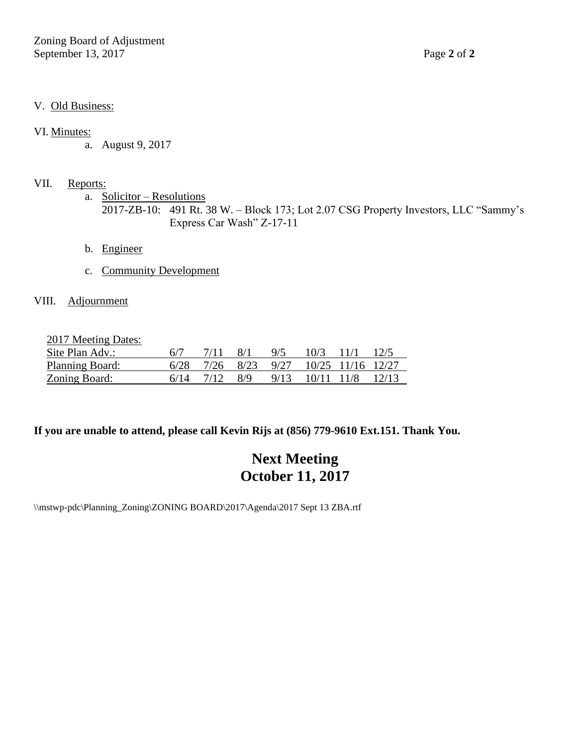Zoning Board of Adjustment September 13, 2017 Page 2 of 2

## V. Old Business:

#### VI. Minutes:

a. August 9, 2017

## VII. Reports:

a. Solicitor – Resolutions 2017-ZB-10: 491 Rt. 38 W. – Block 173; Lot 2.07 CSG Property Investors, LLC "Sammy's Express Car Wash" Z-17-11

- b. Engineer
- c. Community Development

## VIII. Adjournment

2017 Meeting Dates:

| Site Plan Adv.:        |      |      |                             | 9/5                              |                       | $10/3$ 11/1 | 12/5 |
|------------------------|------|------|-----------------------------|----------------------------------|-----------------------|-------------|------|
| <b>Planning Board:</b> | 6/28 |      |                             | 7/26 8/23 9/27 10/25 11/16 12/27 |                       |             |      |
| Zoning Board:          | 6/14 | 7/12 | $\overline{R}/\overline{Q}$ |                                  | 9/13 10/11 11/8 12/13 |             |      |

## **If you are unable to attend, please call Kevin Rijs at (856) 779-9610 Ext.151. Thank You.**

# **Next Meeting October 11, 2017**

\\mstwp-pdc\Planning\_Zoning\ZONING BOARD\2017\Agenda\2017 Sept 13 ZBA.rtf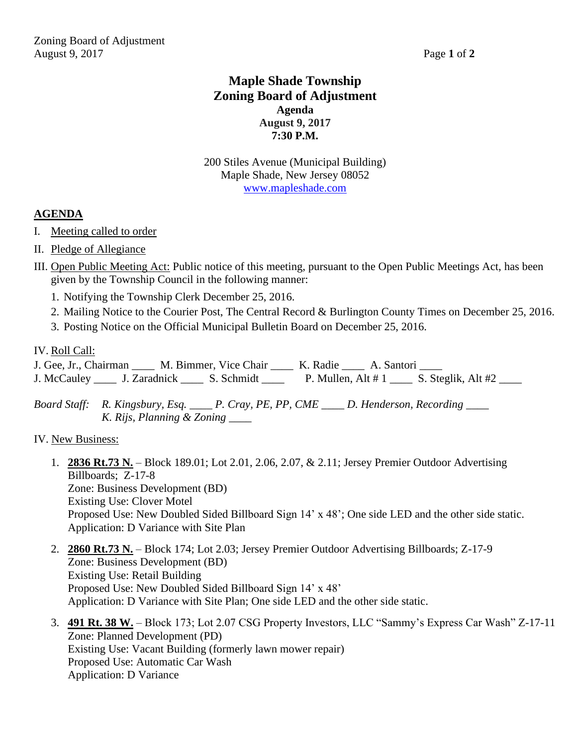## **Maple Shade Township Zoning Board of Adjustment Agenda August 9, 2017 7:30 P.M.**

200 Stiles Avenue (Municipal Building) Maple Shade, New Jersey 08052 [www.mapleshade.com](http://www.mapleshade.com/)

## **AGENDA**

- I. Meeting called to order
- II. Pledge of Allegiance
- III. Open Public Meeting Act: Public notice of this meeting, pursuant to the Open Public Meetings Act, has been given by the Township Council in the following manner:
	- 1. Notifying the Township Clerk December 25, 2016.
	- 2. Mailing Notice to the Courier Post, The Central Record & Burlington County Times on December 25, 2016.
	- 3. Posting Notice on the Official Municipal Bulletin Board on December 25, 2016.

## IV. Roll Call:

J. Gee, Jr., Chairman \_\_\_\_ M. Bimmer, Vice Chair \_\_\_\_ K. Radie \_\_\_\_ A. Santori \_\_\_\_ J. McCauley \_\_\_\_ J. Zaradnick \_\_\_\_ S. Schmidt \_\_\_\_ P. Mullen, Alt # 1 \_\_\_\_ S. Steglik, Alt #2 \_\_\_

*Board Staff: R. Kingsbury, Esq. \_\_\_\_ P. Cray, PE, PP, CME \_\_\_\_ D. Henderson, Recording \_\_\_\_ K. Rijs, Planning & Zoning \_\_\_\_*

## IV. New Business:

- 1. **2836 Rt.73 N.** Block 189.01; Lot 2.01, 2.06, 2.07, & 2.11; Jersey Premier Outdoor Advertising Billboards; Z-17-8 Zone: Business Development (BD) Existing Use: Clover Motel Proposed Use: New Doubled Sided Billboard Sign 14' x 48'; One side LED and the other side static. Application: D Variance with Site Plan
- 2. **2860 Rt.73 N.** Block 174; Lot 2.03; Jersey Premier Outdoor Advertising Billboards; Z-17-9 Zone: Business Development (BD) Existing Use: Retail Building Proposed Use: New Doubled Sided Billboard Sign 14' x 48' Application: D Variance with Site Plan; One side LED and the other side static.
- 3. **491 Rt. 38 W.** Block 173; Lot 2.07 CSG Property Investors, LLC "Sammy's Express Car Wash" Z-17-11 Zone: Planned Development (PD) Existing Use: Vacant Building (formerly lawn mower repair) Proposed Use: Automatic Car Wash Application: D Variance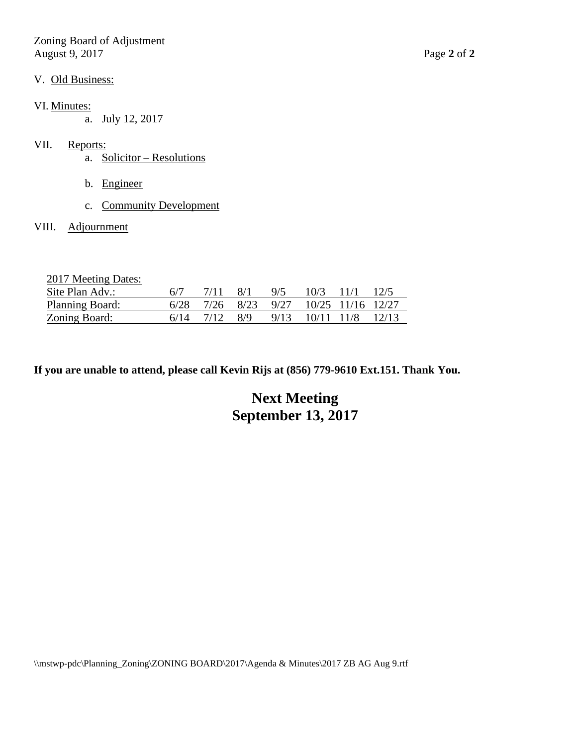Zoning Board of Adjustment August 9, 2017 Page **2** of **2**

#### V. Old Business:

## VI. Minutes:

a. July 12, 2017

## VII. Reports:

- a. Solicitor Resolutions
- b. Engineer
- c. Community Development

#### VIII. Adjournment

2017 Meeting Dates:

| Site Plan Adv.:      |      |      | 8/1 | 9/5 | $10/3$ 11/1                                         | 12/5 |
|----------------------|------|------|-----|-----|-----------------------------------------------------|------|
| Planning Board:      |      |      |     |     | $6/28$ $7/26$ $8/23$ $9/27$ $10/25$ $11/16$ $12/27$ |      |
| <u>Zoning Board:</u> | 6/14 | 7/12 | 8/9 |     | 9/13 10/11 11/8 12/13                               |      |

**If you are unable to attend, please call Kevin Rijs at (856) 779-9610 Ext.151. Thank You.**

# **Next Meeting September 13, 2017**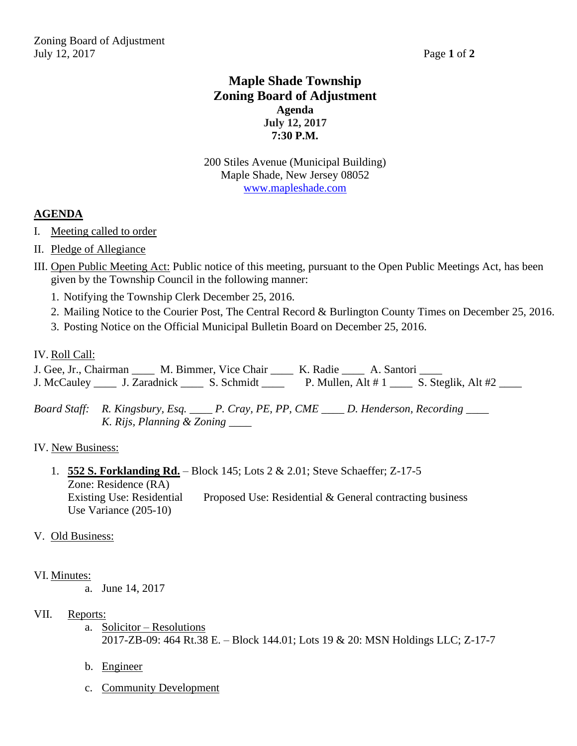## **Maple Shade Township Zoning Board of Adjustment Agenda July 12, 2017 7:30 P.M.**

200 Stiles Avenue (Municipal Building) Maple Shade, New Jersey 08052 [www.mapleshade.com](http://www.mapleshade.com/)

## **AGENDA**

- I. Meeting called to order
- II. Pledge of Allegiance
- III. Open Public Meeting Act: Public notice of this meeting, pursuant to the Open Public Meetings Act, has been given by the Township Council in the following manner:
	- 1. Notifying the Township Clerk December 25, 2016.
	- 2. Mailing Notice to the Courier Post, The Central Record & Burlington County Times on December 25, 2016.
	- 3. Posting Notice on the Official Municipal Bulletin Board on December 25, 2016.

## IV. Roll Call:

J. Gee, Jr., Chairman \_\_\_\_ M. Bimmer, Vice Chair \_\_\_\_ K. Radie \_\_\_\_ A. Santori \_\_\_ J. McCauley \_\_\_\_ J. Zaradnick \_\_\_\_ S. Schmidt \_\_\_\_ P. Mullen, Alt # 1 \_\_\_ S. Steglik, Alt #2 \_\_\_

*Board Staff: R. Kingsbury, Esq. \_\_\_\_ P. Cray, PE, PP, CME \_\_\_\_ D. Henderson, Recording \_\_\_\_ K. Rijs, Planning & Zoning \_\_\_\_*

## IV. New Business:

1. **552 S. Forklanding Rd.** – Block 145; Lots 2 & 2.01; Steve Schaeffer; Z-17-5 Zone: Residence (RA) Existing Use: Residential Proposed Use: Residential & General contracting business Use Variance (205-10)

## V. Old Business:

## VI. Minutes:

a. June 14, 2017

## VII. Reports:

- a. Solicitor Resolutions 2017-ZB-09: 464 Rt.38 E. – Block 144.01; Lots 19 & 20: MSN Holdings LLC; Z-17-7
- b. Engineer
- c. Community Development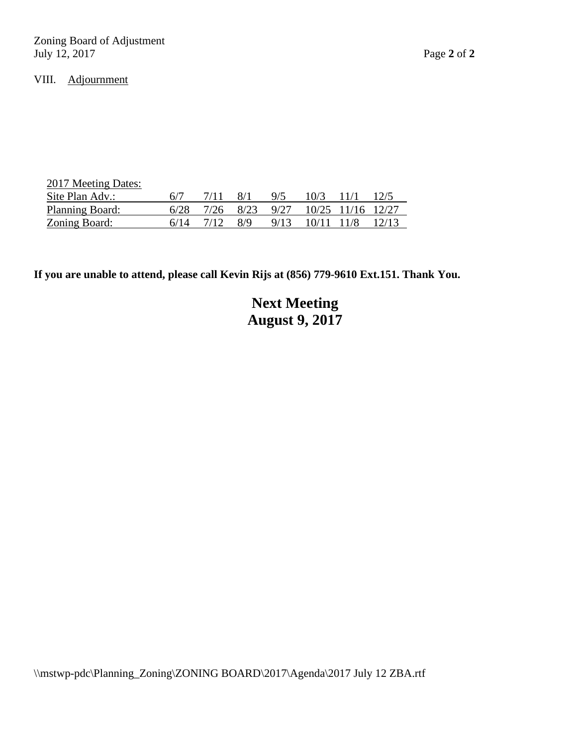Zoning Board of Adjustment July 12, 2017 Page **2** of **2**

## VIII. Adjournment

| 2017 Meeting Dates: |      |      |               |      |                        |      |      |
|---------------------|------|------|---------------|------|------------------------|------|------|
| Site Plan Adv.:     | 6/7  | 7/11 | 8/1           | 9/5  | 10/3                   | 11/1 | 12/5 |
| Planning Board:     | 6/28 |      | 7/26 8/23     |      | 9/27 10/25 11/16 12/27 |      |      |
| Zoning Board:       | 6/14 |      | $\frac{8}{9}$ | 9/13 | $10/11$ $11/8$ $12/13$ |      |      |

## **If you are unable to attend, please call Kevin Rijs at (856) 779-9610 Ext.151. Thank You.**

# **Next Meeting August 9, 2017**

\\mstwp-pdc\Planning\_Zoning\ZONING BOARD\2017\Agenda\2017 July 12 ZBA.rtf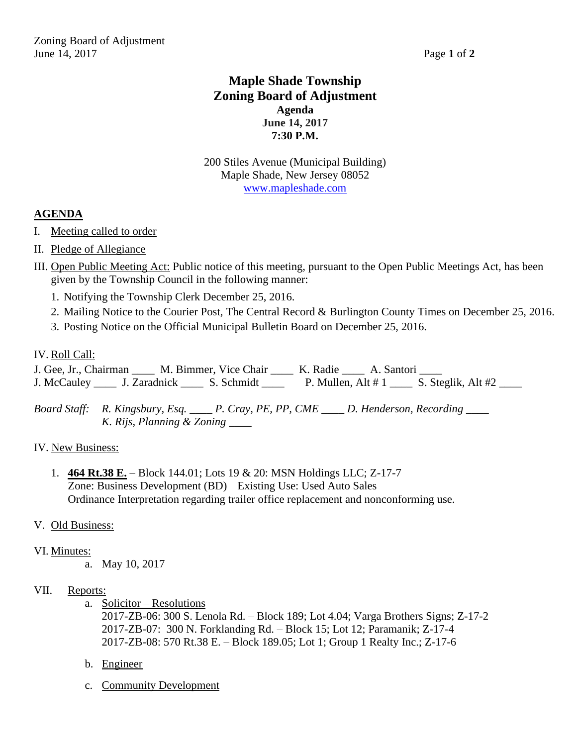## **Maple Shade Township Zoning Board of Adjustment Agenda June 14, 2017 7:30 P.M.**

200 Stiles Avenue (Municipal Building) Maple Shade, New Jersey 08052 [www.mapleshade.com](http://www.mapleshade.com/)

## **AGENDA**

- I. Meeting called to order
- II. Pledge of Allegiance
- III. Open Public Meeting Act: Public notice of this meeting, pursuant to the Open Public Meetings Act, has been given by the Township Council in the following manner:
	- 1. Notifying the Township Clerk December 25, 2016.
	- 2. Mailing Notice to the Courier Post, The Central Record & Burlington County Times on December 25, 2016.
	- 3. Posting Notice on the Official Municipal Bulletin Board on December 25, 2016.

## IV. Roll Call:

J. Gee, Jr., Chairman \_\_\_\_ M. Bimmer, Vice Chair \_\_\_\_ K. Radie \_\_\_\_ A. Santori \_\_\_ J. McCauley \_\_\_\_ J. Zaradnick \_\_\_\_ S. Schmidt \_\_\_\_ P. Mullen, Alt # 1 \_\_\_ S. Steglik, Alt #2 \_\_\_

*Board Staff: R. Kingsbury, Esq. \_\_\_\_ P. Cray, PE, PP, CME \_\_\_\_ D. Henderson, Recording \_\_\_\_ K. Rijs, Planning & Zoning \_\_\_\_*

## IV. New Business:

1. **464 Rt.38 E.** – Block 144.01; Lots 19 & 20: MSN Holdings LLC; Z-17-7 Zone: Business Development (BD) Existing Use: Used Auto Sales Ordinance Interpretation regarding trailer office replacement and nonconforming use.

## V. Old Business:

## VI. Minutes:

a. May 10, 2017

## VII. Reports:

a. Solicitor – Resolutions

2017-ZB-06: 300 S. Lenola Rd. – Block 189; Lot 4.04; Varga Brothers Signs; Z-17-2 2017-ZB-07: 300 N. Forklanding Rd. – Block 15; Lot 12; Paramanik; Z-17-4 2017-ZB-08: 570 Rt.38 E. – Block 189.05; Lot 1; Group 1 Realty Inc.; Z-17-6

- b. Engineer
- c. Community Development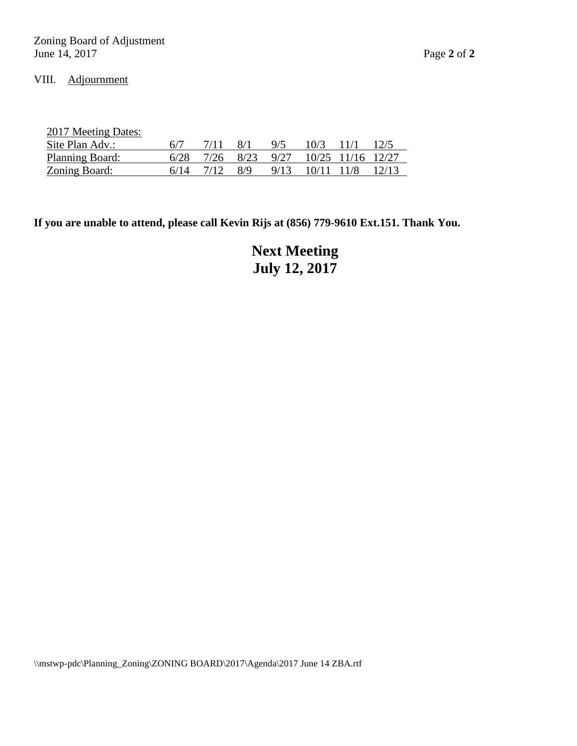## VIII. Adjournment

2017 Meeting Dates:

| Site Plan Adv.:        |      | 7/11  | $-8/1$                                              | $-9/5$                | 10/3 11/1 | 12/5 |
|------------------------|------|-------|-----------------------------------------------------|-----------------------|-----------|------|
| <b>Planning Board:</b> |      |       | $6/28$ $7/26$ $8/23$ $9/27$ $10/25$ $11/16$ $12/27$ |                       |           |      |
| Zoning Board:          | 6/14 | 17/12 | 8/9                                                 | 9/13 10/11 11/8 12/13 |           |      |

**If you are unable to attend, please call Kevin Rijs at (856) 779-9610 Ext.151. Thank You.**

**Next Meeting July 12, 2017**

\\mstwp-pdc\Planning\_Zoning\ZONING BOARD\2017\Agenda\2017 June 14 ZBA.rtf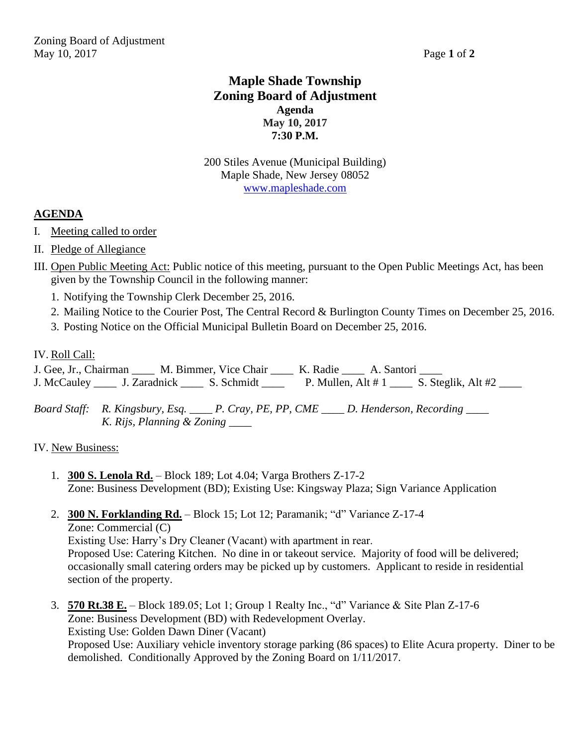## **Maple Shade Township Zoning Board of Adjustment Agenda May 10, 2017 7:30 P.M.**

200 Stiles Avenue (Municipal Building) Maple Shade, New Jersey 08052 [www.mapleshade.com](http://www.mapleshade.com/)

## **AGENDA**

- I. Meeting called to order
- II. Pledge of Allegiance
- III. Open Public Meeting Act: Public notice of this meeting, pursuant to the Open Public Meetings Act, has been given by the Township Council in the following manner:
	- 1. Notifying the Township Clerk December 25, 2016.
	- 2. Mailing Notice to the Courier Post, The Central Record & Burlington County Times on December 25, 2016.
	- 3. Posting Notice on the Official Municipal Bulletin Board on December 25, 2016.

## IV. Roll Call:

J. Gee, Jr., Chairman \_\_\_\_ M. Bimmer, Vice Chair \_\_\_\_ K. Radie \_\_\_\_ A. Santori \_\_\_\_ J. McCauley \_\_\_\_ J. Zaradnick \_\_\_\_ S. Schmidt \_\_\_\_ P. Mullen, Alt # 1 \_\_\_ S. Steglik, Alt #2 \_\_\_

*Board Staff: R. Kingsbury, Esq. \_\_\_\_ P. Cray, PE, PP, CME \_\_\_\_ D. Henderson, Recording \_\_\_\_ K. Rijs, Planning & Zoning \_\_\_\_*

## IV. New Business:

1. **300 S. Lenola Rd.** – Block 189; Lot 4.04; Varga Brothers Z-17-2 Zone: Business Development (BD); Existing Use: Kingsway Plaza; Sign Variance Application

#### 2. **300 N. Forklanding Rd.** – Block 15; Lot 12; Paramanik; "d" Variance Z-17-4 Zone: Commercial (C)

Existing Use: Harry's Dry Cleaner (Vacant) with apartment in rear. Proposed Use: Catering Kitchen. No dine in or takeout service. Majority of food will be delivered; occasionally small catering orders may be picked up by customers. Applicant to reside in residential section of the property.

3. **570 Rt.38 E.** – Block 189.05; Lot 1; Group 1 Realty Inc., "d" Variance & Site Plan Z-17-6 Zone: Business Development (BD) with Redevelopment Overlay. Existing Use: Golden Dawn Diner (Vacant) Proposed Use: Auxiliary vehicle inventory storage parking (86 spaces) to Elite Acura property. Diner to be demolished. Conditionally Approved by the Zoning Board on 1/11/2017.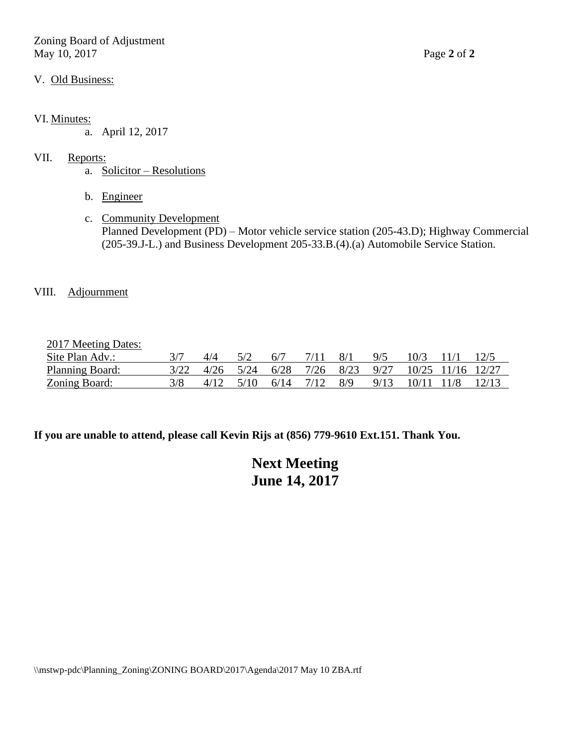Zoning Board of Adjustment May 10, 2017 Page **2** of **2**

#### V. Old Business:

#### VI. Minutes:

a. April 12, 2017

#### VII. Reports:

- a. Solicitor Resolutions
- b. Engineer
- c. Community Development Planned Development (PD) – Motor vehicle service station (205-43.D); Highway Commercial (205-39.J-L.) and Business Development 205-33.B.(4).(a) Automobile Service Station.

## VIII. Adjournment

2017 Meeting Dates:

| Site Plan Adv.: |  | 5/2                               | - 6/7 | 7/11 8/1 | 9/5 | $10/3$ 11/1                                          |  |
|-----------------|--|-----------------------------------|-------|----------|-----|------------------------------------------------------|--|
| Planning Board: |  |                                   |       |          |     | 3/22 4/26 5/24 6/28 7/26 8/23 9/27 10/25 11/16 12/27 |  |
| Zoning Board:   |  | $4/12$ $5/10$ $6/14$ $7/12$ $8/9$ |       |          |     | 9/13 10/11 11/8 12/13                                |  |

**If you are unable to attend, please call Kevin Rijs at (856) 779-9610 Ext.151. Thank You.**

|                      | <b>Next Meeting</b> |
|----------------------|---------------------|
| <b>June 14, 2017</b> |                     |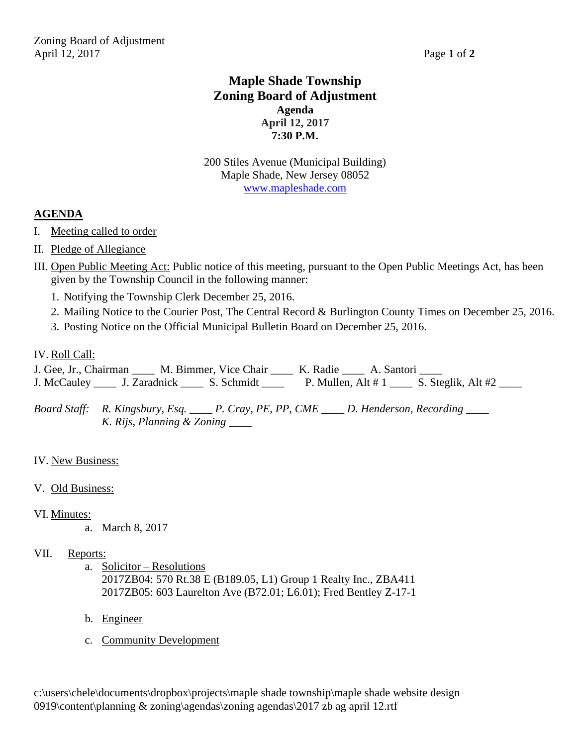## **Maple Shade Township Zoning Board of Adjustment Agenda April 12, 2017 7:30 P.M.**

200 Stiles Avenue (Municipal Building) Maple Shade, New Jersey 08052 [www.mapleshade.com](http://www.mapleshade.com/)

## **AGENDA**

- I. Meeting called to order
- II. Pledge of Allegiance
- III. Open Public Meeting Act: Public notice of this meeting, pursuant to the Open Public Meetings Act, has been given by the Township Council in the following manner:
	- 1. Notifying the Township Clerk December 25, 2016.
	- 2. Mailing Notice to the Courier Post, The Central Record & Burlington County Times on December 25, 2016.
	- 3. Posting Notice on the Official Municipal Bulletin Board on December 25, 2016.

## IV. Roll Call:

J. Gee, Jr., Chairman \_\_\_\_\_ M. Bimmer, Vice Chair \_\_\_\_ K. Radie \_\_\_\_ A. Santori \_\_\_ J. McCauley \_\_\_\_ J. Zaradnick \_\_\_\_ S. Schmidt \_\_\_\_ P. Mullen, Alt # 1 \_\_\_ S. Steglik, Alt #2 \_\_\_

*Board Staff: R. Kingsbury, Esq. \_\_\_\_ P. Cray, PE, PP, CME \_\_\_\_ D. Henderson, Recording \_\_\_\_ K. Rijs, Planning & Zoning \_\_\_\_*

- IV. New Business:
- V. Old Business:
- VI. Minutes:
	- a. March 8, 2017
- VII. Reports:
	- a. Solicitor Resolutions 2017ZB04: 570 Rt.38 E (B189.05, L1) Group 1 Realty Inc., ZBA411 2017ZB05: 603 Laurelton Ave (B72.01; L6.01); Fred Bentley Z-17-1
	- b. Engineer
	- c. Community Development

c:\users\chele\documents\dropbox\projects\maple shade township\maple shade website design 0919\content\planning & zoning\agendas\zoning agendas\2017 zb ag april 12.rtf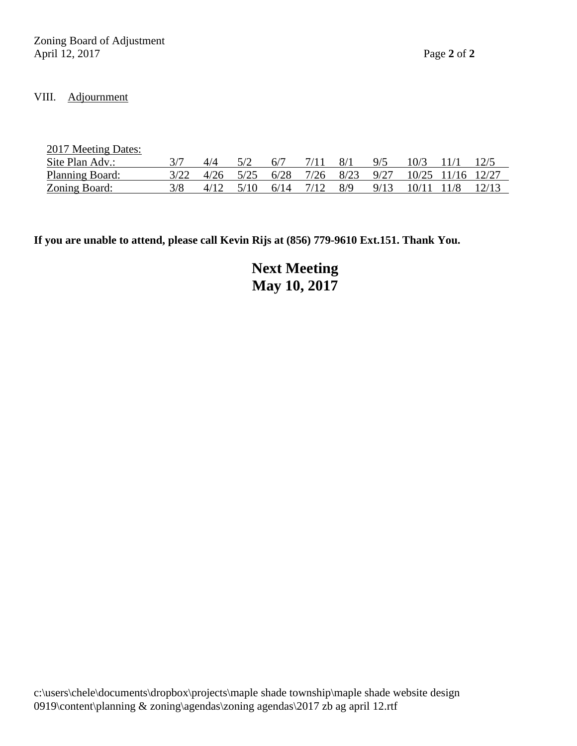## VIII. Adjournment

| 2017 Meeting Dates:  |      |      |      |      |      |      |            |                   |       |
|----------------------|------|------|------|------|------|------|------------|-------------------|-------|
| Site Plan Adv.:      |      |      | 6/7  |      | 8/1  | 9/5  | 10/3       |                   |       |
| Planning Board:      | 4/26 | 5/25 | 6/28 | 7/26 | 8/23 | 9/27 |            | 10/25 11/16 12/27 |       |
| <b>Zoning Board:</b> | 4/12 | 5/10 | 6/14 | 7/12 | 8/9  | 9/13 | 10/11 11/8 |                   | 12/13 |

**If you are unable to attend, please call Kevin Rijs at (856) 779-9610 Ext.151. Thank You.**

**Next Meeting May 10, 2017**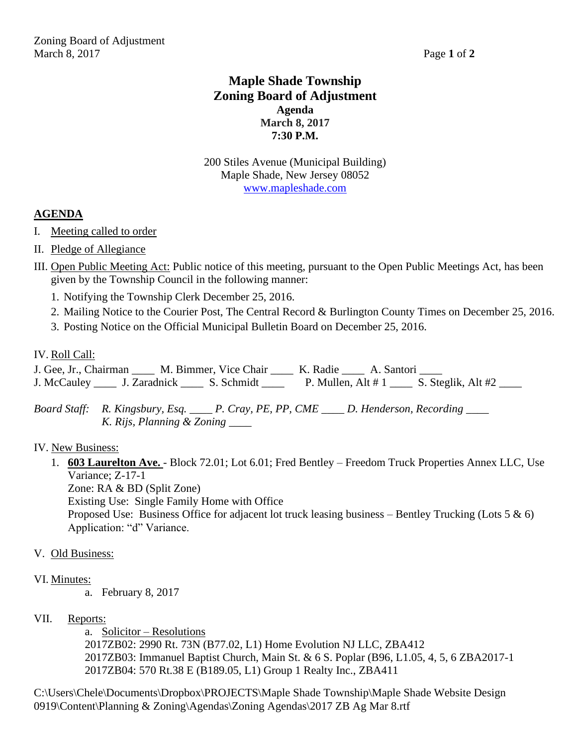## **Maple Shade Township Zoning Board of Adjustment Agenda March 8, 2017 7:30 P.M.**

200 Stiles Avenue (Municipal Building) Maple Shade, New Jersey 08052 [www.mapleshade.com](http://www.mapleshade.com/)

## **AGENDA**

- I. Meeting called to order
- II. Pledge of Allegiance
- III. Open Public Meeting Act: Public notice of this meeting, pursuant to the Open Public Meetings Act, has been given by the Township Council in the following manner:
	- 1. Notifying the Township Clerk December 25, 2016.
	- 2. Mailing Notice to the Courier Post, The Central Record & Burlington County Times on December 25, 2016.
	- 3. Posting Notice on the Official Municipal Bulletin Board on December 25, 2016.

## IV. Roll Call:

J. Gee, Jr., Chairman \_\_\_\_\_ M. Bimmer, Vice Chair \_\_\_\_ K. Radie \_\_\_\_ A. Santori \_\_\_ J. McCauley \_\_\_\_ J. Zaradnick \_\_\_\_ S. Schmidt \_\_\_\_ P. Mullen, Alt # 1 \_\_\_ S. Steglik, Alt #2 \_\_\_

*Board Staff: R. Kingsbury, Esq. \_\_\_\_ P. Cray, PE, PP, CME \_\_\_\_ D. Henderson, Recording \_\_\_\_ K. Rijs, Planning & Zoning \_\_\_\_*

## IV. New Business:

1. **603 Laurelton Ave.** - Block 72.01; Lot 6.01; Fred Bentley – Freedom Truck Properties Annex LLC, Use Variance; Z-17-1

Zone: RA & BD (Split Zone)

Existing Use: Single Family Home with Office

Proposed Use: Business Office for adjacent lot truck leasing business – Bentley Trucking (Lots 5 & 6) Application: "d" Variance.

## V. Old Business:

## VI. Minutes:

a. February 8, 2017

## VII. Reports:

a. Solicitor – Resolutions 2017ZB02: 2990 Rt. 73N (B77.02, L1) Home Evolution NJ LLC, ZBA412 2017ZB03: Immanuel Baptist Church, Main St. & 6 S. Poplar (B96, L1.05, 4, 5, 6 ZBA2017-1 2017ZB04: 570 Rt.38 E (B189.05, L1) Group 1 Realty Inc., ZBA411

C:\Users\Chele\Documents\Dropbox\PROJECTS\Maple Shade Township\Maple Shade Website Design 0919\Content\Planning & Zoning\Agendas\Zoning Agendas\2017 ZB Ag Mar 8.rtf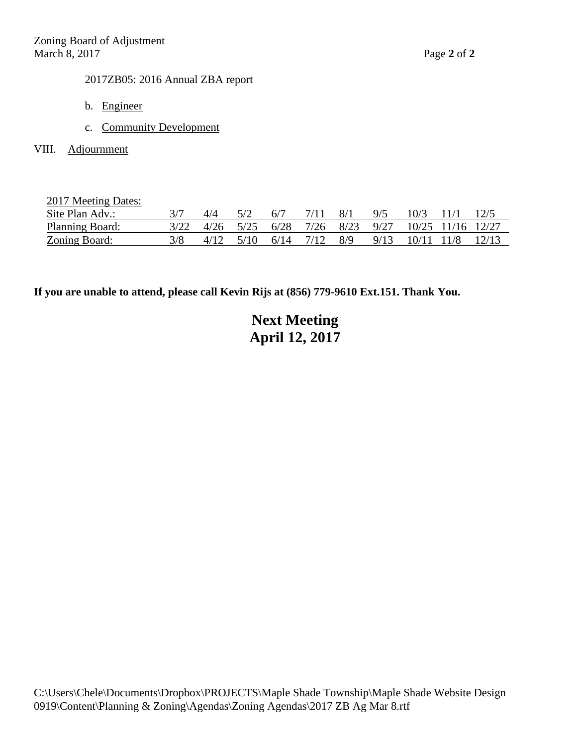## 2017ZB05: 2016 Annual ZBA report

- b. Engineer
- c. Community Development
- VIII. Adjournment

2017 Meeting Dates:

| $\frac{1017 \text{ m}}{1000 \text{ m}}$ |  |     |       |     |                                                                 |      |         |  |
|-----------------------------------------|--|-----|-------|-----|-----------------------------------------------------------------|------|---------|--|
| Site Plan Adv.:                         |  | 5/2 | - 6/7 | 8/1 | 9/5                                                             | 10/3 | $-11/1$ |  |
| Planning Board:                         |  |     |       |     | 3/22 4/26 5/25 6/28 7/26 8/23 9/27 10/25 11/16 12/27            |      |         |  |
| <b>Zoning Board:</b>                    |  |     |       |     | $4/12$ $5/10$ $6/14$ $7/12$ $8/9$ $9/13$ $10/11$ $11/8$ $12/13$ |      |         |  |

**If you are unable to attend, please call Kevin Rijs at (856) 779-9610 Ext.151. Thank You.**

# **Next Meeting April 12, 2017**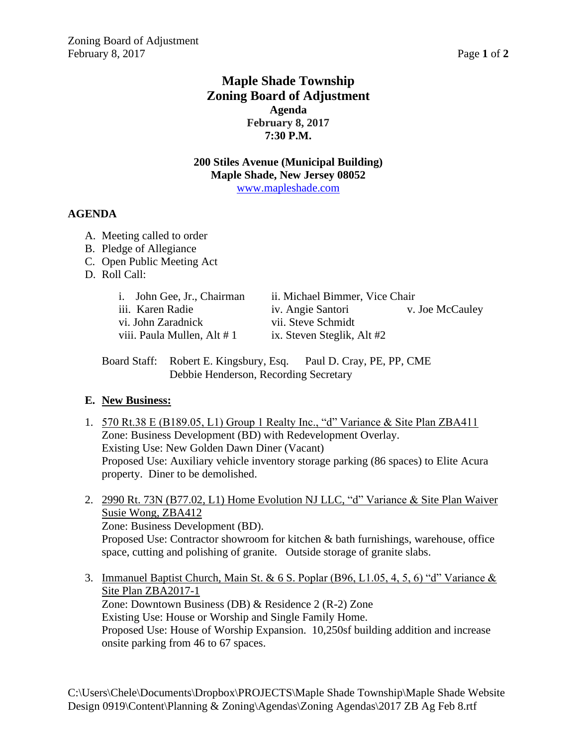## **Maple Shade Township Zoning Board of Adjustment Agenda February 8, 2017 7:30 P.M.**

## **200 Stiles Avenue (Municipal Building) Maple Shade, New Jersey 08052** [www.mapleshade.com](http://www.mapleshade.com/)

## **AGENDA**

- A. Meeting called to order
- B. Pledge of Allegiance
- C. Open Public Meeting Act
- D. Roll Call:

| i. John Gee, Jr., Chairman  | ii. Michael Bimmer, Vice Chair |                 |
|-----------------------------|--------------------------------|-----------------|
| iii. Karen Radie            | iv. Angie Santori              | v. Joe McCauley |
| vi. John Zaradnick          | vii. Steve Schmidt             |                 |
| viii. Paula Mullen, Alt # 1 | ix. Steven Steglik, Alt #2     |                 |

Board Staff: Robert E. Kingsbury, Esq. Paul D. Cray, PE, PP, CME Debbie Henderson, Recording Secretary

## **E. New Business:**

- 1. 570 Rt.38 E (B189.05, L1) Group 1 Realty Inc., "d" Variance & Site Plan ZBA411 Zone: Business Development (BD) with Redevelopment Overlay. Existing Use: New Golden Dawn Diner (Vacant) Proposed Use: Auxiliary vehicle inventory storage parking (86 spaces) to Elite Acura property. Diner to be demolished.
- 2. 2990 Rt. 73N (B77.02, L1) Home Evolution NJ LLC, "d" Variance & Site Plan Waiver Susie Wong, ZBA412 Zone: Business Development (BD). Proposed Use: Contractor showroom for kitchen & bath furnishings, warehouse, office space, cutting and polishing of granite. Outside storage of granite slabs.
- 3. Immanuel Baptist Church, Main St. & 6 S. Poplar (B96, L1.05, 4, 5, 6) "d" Variance  $\&$ Site Plan ZBA2017-1 Zone: Downtown Business (DB) & Residence 2 (R-2) Zone Existing Use: House or Worship and Single Family Home. Proposed Use: House of Worship Expansion. 10,250sf building addition and increase onsite parking from 46 to 67 spaces.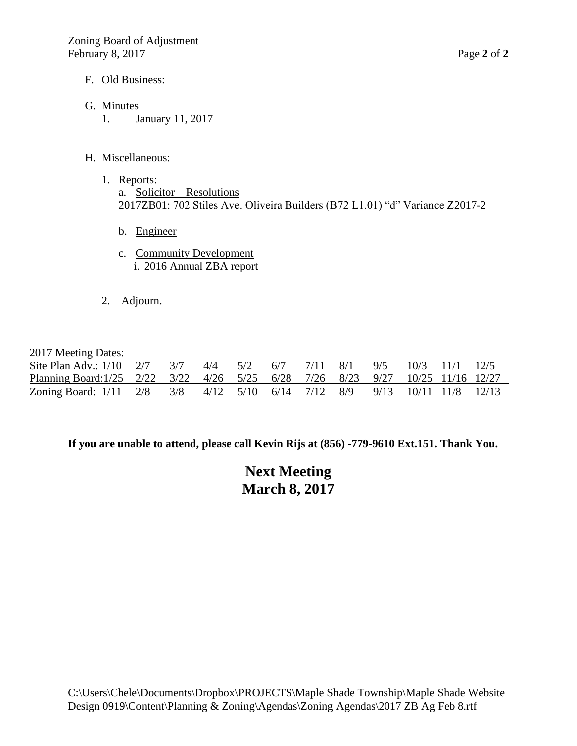## F. Old Business:

- G. Minutes
	- 1. January 11, 2017

## H. Miscellaneous:

- 1. Reports: a. Solicitor – Resolutions 2017ZB01: 702 Stiles Ave. Oliveira Builders (B72 L1.01) "d" Variance Z2017-2
	- b. Engineer
	- c. Community Development i. 2016 Annual ZBA report
- 2. Adjourn.

## 2017 Meeting Dates:

| $\frac{1}{2}$ $\frac{1}{2}$ $\frac{1}{2}$ $\frac{1}{2}$ $\frac{1}{2}$ $\frac{1}{2}$ $\frac{1}{2}$ $\frac{1}{2}$ $\frac{1}{2}$ $\frac{1}{2}$ $\frac{1}{2}$ $\frac{1}{2}$ $\frac{1}{2}$ $\frac{1}{2}$ $\frac{1}{2}$ $\frac{1}{2}$ $\frac{1}{2}$ $\frac{1}{2}$ $\frac{1}{2}$ $\frac{1}{2}$ $\frac{1}{2}$ $\frac{1}{2}$ |  |  |  |  |                               |  |
|---------------------------------------------------------------------------------------------------------------------------------------------------------------------------------------------------------------------------------------------------------------------------------------------------------------------|--|--|--|--|-------------------------------|--|
| Site Plan Adv.: $1/10$ 2/7 3/7 4/4 5/2 6/7                                                                                                                                                                                                                                                                          |  |  |  |  | $7/11$ 8/1 9/5 10/3 11/1 12/5 |  |
| Planning Board: 1/25 2/22 3/22 4/26 5/25 6/28 7/26 8/23 9/27 10/25 11/16 12/27                                                                                                                                                                                                                                      |  |  |  |  |                               |  |
| Zoning Board: 1/11 2/8 3/8 4/12 5/10 6/14 7/12 8/9 9/13 10/11 11/8 12/13                                                                                                                                                                                                                                            |  |  |  |  |                               |  |

**If you are unable to attend, please call Kevin Rijs at (856) -779-9610 Ext.151. Thank You.**

**Next Meeting March 8, 2017**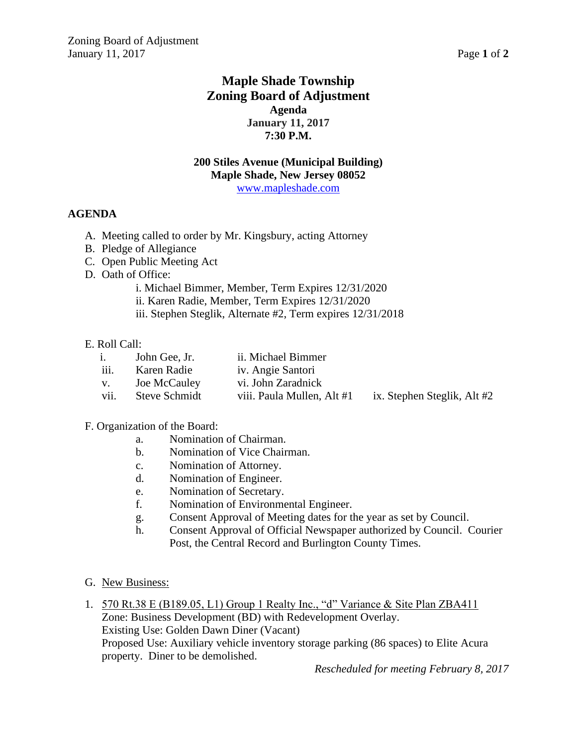## **Maple Shade Township Zoning Board of Adjustment Agenda January 11, 2017 7:30 P.M.**

## **200 Stiles Avenue (Municipal Building) Maple Shade, New Jersey 08052** [www.mapleshade.com](http://www.mapleshade.com/)

## **AGENDA**

- A. Meeting called to order by Mr. Kingsbury, acting Attorney
- B. Pledge of Allegiance
- C. Open Public Meeting Act
- D. Oath of Office:
	- i. Michael Bimmer, Member, Term Expires 12/31/2020
	- ii. Karen Radie, Member, Term Expires 12/31/2020
	- iii. Stephen Steglik, Alternate #2, Term expires 12/31/2018

#### E. Roll Call:

| i.               | John Gee, Jr. | ii. Michael Bimmer         |                             |
|------------------|---------------|----------------------------|-----------------------------|
| $\ldots$<br>111. | Karen Radie   | iv. Angie Santori          |                             |
| V.               | Joe McCauley  | vi. John Zaradnick         |                             |
| vii.             | Steve Schmidt | viii. Paula Mullen, Alt #1 | ix. Stephen Steglik, Alt #2 |
|                  |               |                            |                             |

#### F. Organization of the Board:

- a. Nomination of Chairman.
- b. Nomination of Vice Chairman.
- c. Nomination of Attorney.
- d. Nomination of Engineer.
- e. Nomination of Secretary.
- f. Nomination of Environmental Engineer.
- g. Consent Approval of Meeting dates for the year as set by Council.
- h. Consent Approval of Official Newspaper authorized by Council. Courier Post, the Central Record and Burlington County Times.
- G. New Business:
- 1. 570 Rt.38 E (B189.05, L1) Group 1 Realty Inc., "d" Variance & Site Plan ZBA411 Zone: Business Development (BD) with Redevelopment Overlay. Existing Use: Golden Dawn Diner (Vacant) Proposed Use: Auxiliary vehicle inventory storage parking (86 spaces) to Elite Acura property. Diner to be demolished.

*Rescheduled for meeting February 8, 2017*